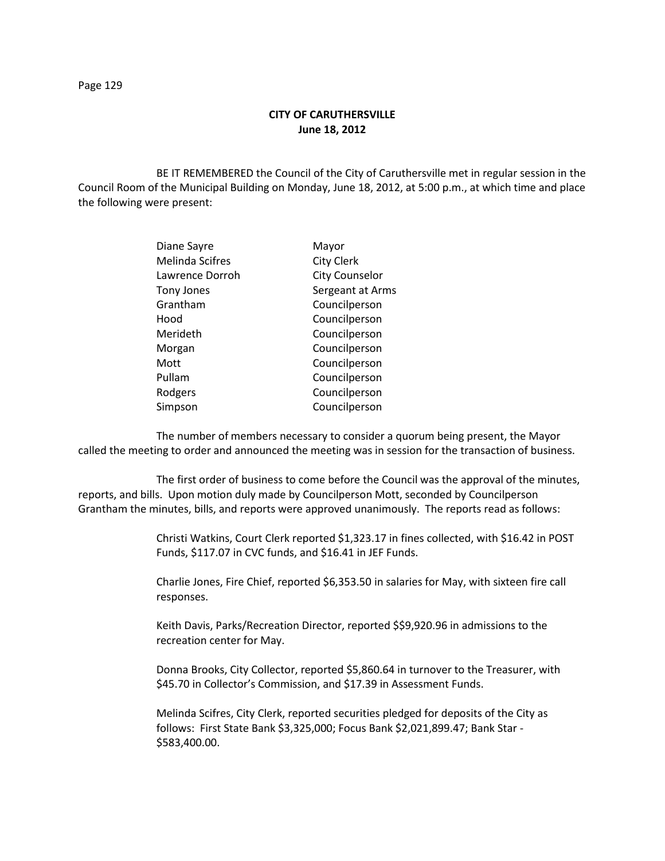# **CITY OF CARUTHERSVILLE June 18, 2012**

BE IT REMEMBERED the Council of the City of Caruthersville met in regular session in the Council Room of the Municipal Building on Monday, June 18, 2012, at 5:00 p.m., at which time and place the following were present:

| Diane Sayre       | Mayor                 |
|-------------------|-----------------------|
| Melinda Scifres   | <b>City Clerk</b>     |
| Lawrence Dorroh   | <b>City Counselor</b> |
| <b>Tony Jones</b> | Sergeant at Arms      |
| Grantham          | Councilperson         |
| Hood              | Councilperson         |
| Merideth          | Councilperson         |
| Morgan            | Councilperson         |
| Mott              | Councilperson         |
| Pullam            | Councilperson         |
| Rodgers           | Councilperson         |
| Simpson           | Councilperson         |
|                   |                       |

The number of members necessary to consider a quorum being present, the Mayor called the meeting to order and announced the meeting was in session for the transaction of business.

The first order of business to come before the Council was the approval of the minutes, reports, and bills. Upon motion duly made by Councilperson Mott, seconded by Councilperson Grantham the minutes, bills, and reports were approved unanimously. The reports read as follows:

> Christi Watkins, Court Clerk reported \$1,323.17 in fines collected, with \$16.42 in POST Funds, \$117.07 in CVC funds, and \$16.41 in JEF Funds.

Charlie Jones, Fire Chief, reported \$6,353.50 in salaries for May, with sixteen fire call responses.

Keith Davis, Parks/Recreation Director, reported \$\$9,920.96 in admissions to the recreation center for May.

Donna Brooks, City Collector, reported \$5,860.64 in turnover to the Treasurer, with \$45.70 in Collector's Commission, and \$17.39 in Assessment Funds.

Melinda Scifres, City Clerk, reported securities pledged for deposits of the City as follows: First State Bank \$3,325,000; Focus Bank \$2,021,899.47; Bank Star - \$583,400.00.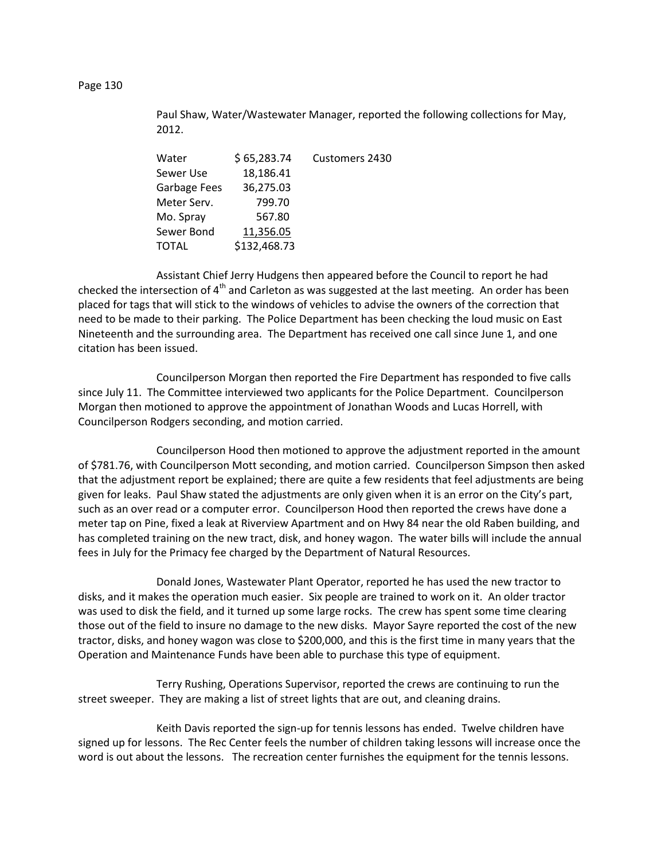# Paul Shaw, Water/Wastewater Manager, reported the following collections for May, 2012.

| Water        | \$65,283.74  | Customers 2430 |
|--------------|--------------|----------------|
| Sewer Use    | 18,186.41    |                |
| Garbage Fees | 36,275.03    |                |
| Meter Serv.  | 799.70       |                |
| Mo. Spray    | 567.80       |                |
| Sewer Bond   | 11,356.05    |                |
| TOTAL        | \$132,468.73 |                |
|              |              |                |

Assistant Chief Jerry Hudgens then appeared before the Council to report he had checked the intersection of  $4<sup>th</sup>$  and Carleton as was suggested at the last meeting. An order has been placed for tags that will stick to the windows of vehicles to advise the owners of the correction that need to be made to their parking. The Police Department has been checking the loud music on East Nineteenth and the surrounding area. The Department has received one call since June 1, and one citation has been issued.

Councilperson Morgan then reported the Fire Department has responded to five calls since July 11. The Committee interviewed two applicants for the Police Department. Councilperson Morgan then motioned to approve the appointment of Jonathan Woods and Lucas Horrell, with Councilperson Rodgers seconding, and motion carried.

Councilperson Hood then motioned to approve the adjustment reported in the amount of \$781.76, with Councilperson Mott seconding, and motion carried. Councilperson Simpson then asked that the adjustment report be explained; there are quite a few residents that feel adjustments are being given for leaks. Paul Shaw stated the adjustments are only given when it is an error on the City's part, such as an over read or a computer error. Councilperson Hood then reported the crews have done a meter tap on Pine, fixed a leak at Riverview Apartment and on Hwy 84 near the old Raben building, and has completed training on the new tract, disk, and honey wagon. The water bills will include the annual fees in July for the Primacy fee charged by the Department of Natural Resources.

Donald Jones, Wastewater Plant Operator, reported he has used the new tractor to disks, and it makes the operation much easier. Six people are trained to work on it. An older tractor was used to disk the field, and it turned up some large rocks. The crew has spent some time clearing those out of the field to insure no damage to the new disks. Mayor Sayre reported the cost of the new tractor, disks, and honey wagon was close to \$200,000, and this is the first time in many years that the Operation and Maintenance Funds have been able to purchase this type of equipment.

Terry Rushing, Operations Supervisor, reported the crews are continuing to run the street sweeper. They are making a list of street lights that are out, and cleaning drains.

Keith Davis reported the sign-up for tennis lessons has ended. Twelve children have signed up for lessons. The Rec Center feels the number of children taking lessons will increase once the word is out about the lessons. The recreation center furnishes the equipment for the tennis lessons.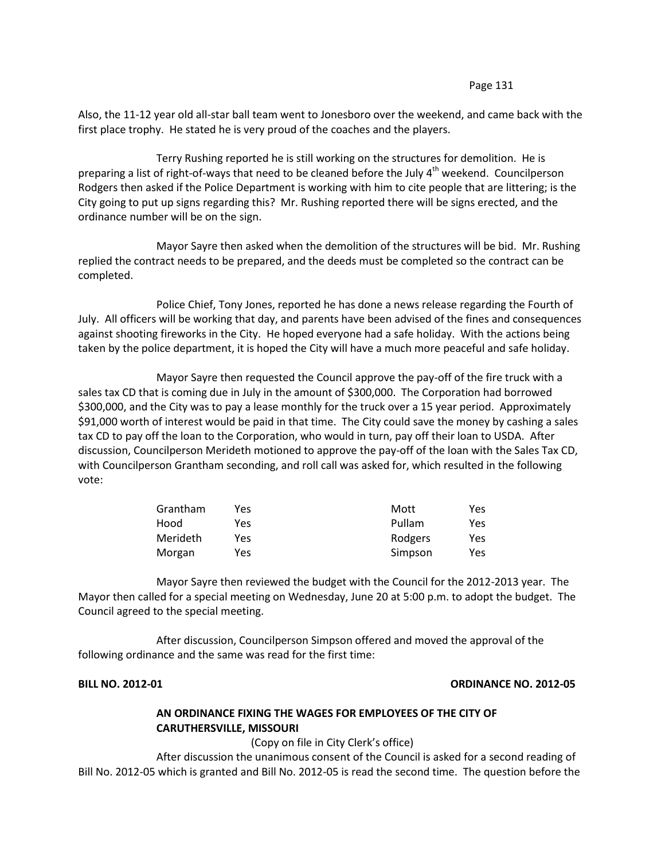### Page 131

Also, the 11-12 year old all-star ball team went to Jonesboro over the weekend, and came back with the first place trophy. He stated he is very proud of the coaches and the players.

Terry Rushing reported he is still working on the structures for demolition. He is preparing a list of right-of-ways that need to be cleaned before the July  $4<sup>th</sup>$  weekend. Councilperson Rodgers then asked if the Police Department is working with him to cite people that are littering; is the City going to put up signs regarding this? Mr. Rushing reported there will be signs erected, and the ordinance number will be on the sign.

Mayor Sayre then asked when the demolition of the structures will be bid. Mr. Rushing replied the contract needs to be prepared, and the deeds must be completed so the contract can be completed.

Police Chief, Tony Jones, reported he has done a news release regarding the Fourth of July. All officers will be working that day, and parents have been advised of the fines and consequences against shooting fireworks in the City. He hoped everyone had a safe holiday. With the actions being taken by the police department, it is hoped the City will have a much more peaceful and safe holiday.

Mayor Sayre then requested the Council approve the pay-off of the fire truck with a sales tax CD that is coming due in July in the amount of \$300,000. The Corporation had borrowed \$300,000, and the City was to pay a lease monthly for the truck over a 15 year period. Approximately \$91,000 worth of interest would be paid in that time. The City could save the money by cashing a sales tax CD to pay off the loan to the Corporation, who would in turn, pay off their loan to USDA. After discussion, Councilperson Merideth motioned to approve the pay-off of the loan with the Sales Tax CD, with Councilperson Grantham seconding, and roll call was asked for, which resulted in the following vote:

| Grantham | Yes. | Mott    | Yes |
|----------|------|---------|-----|
| Hood     | Yes  | Pullam  | Yes |
| Merideth | Yes  | Rodgers | Yes |
| Morgan   | Yes  | Simpson | Yes |

Mayor Sayre then reviewed the budget with the Council for the 2012-2013 year. The Mayor then called for a special meeting on Wednesday, June 20 at 5:00 p.m. to adopt the budget. The Council agreed to the special meeting.

After discussion, Councilperson Simpson offered and moved the approval of the following ordinance and the same was read for the first time:

## **BILL NO. 2012-01 ORDINANCE NO. 2012-05**

# **AN ORDINANCE FIXING THE WAGES FOR EMPLOYEES OF THE CITY OF CARUTHERSVILLE, MISSOURI**

(Copy on file in City Clerk's office)

After discussion the unanimous consent of the Council is asked for a second reading of Bill No. 2012-05 which is granted and Bill No. 2012-05 is read the second time. The question before the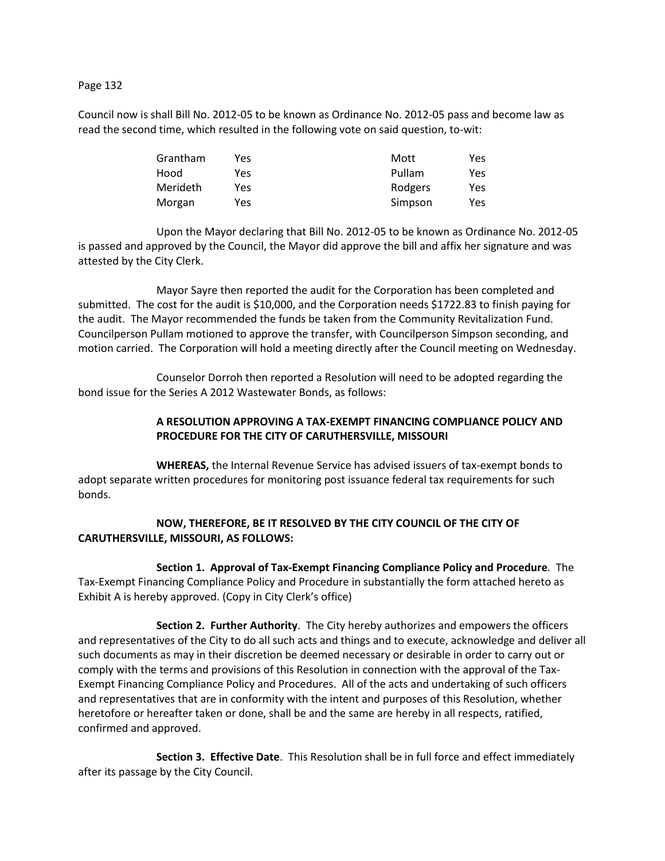## Page 132

Council now is shall Bill No. 2012-05 to be known as Ordinance No. 2012-05 pass and become law as read the second time, which resulted in the following vote on said question, to-wit:

| Grantham | Yes | Mott    | Yes |
|----------|-----|---------|-----|
| Hood     | Yes | Pullam  | Yes |
| Merideth | Yes | Rodgers | Yes |
| Morgan   | Yes | Simpson | Yes |

Upon the Mayor declaring that Bill No. 2012-05 to be known as Ordinance No. 2012-05 is passed and approved by the Council, the Mayor did approve the bill and affix her signature and was attested by the City Clerk.

Mayor Sayre then reported the audit for the Corporation has been completed and submitted. The cost for the audit is \$10,000, and the Corporation needs \$1722.83 to finish paying for the audit. The Mayor recommended the funds be taken from the Community Revitalization Fund. Councilperson Pullam motioned to approve the transfer, with Councilperson Simpson seconding, and motion carried. The Corporation will hold a meeting directly after the Council meeting on Wednesday.

Counselor Dorroh then reported a Resolution will need to be adopted regarding the bond issue for the Series A 2012 Wastewater Bonds, as follows:

# **A RESOLUTION APPROVING A TAX-EXEMPT FINANCING COMPLIANCE POLICY AND PROCEDURE FOR THE CITY OF CARUTHERSVILLE, MISSOURI**

**WHEREAS,** the Internal Revenue Service has advised issuers of tax-exempt bonds to adopt separate written procedures for monitoring post issuance federal tax requirements for such bonds.

# **NOW, THEREFORE, BE IT RESOLVED BY THE CITY COUNCIL OF THE CITY OF CARUTHERSVILLE, MISSOURI, AS FOLLOWS:**

**Section 1. Approval of Tax-Exempt Financing Compliance Policy and Procedure**. The Tax-Exempt Financing Compliance Policy and Procedure in substantially the form attached hereto as Exhibit A is hereby approved. (Copy in City Clerk's office)

**Section 2. Further Authority**. The City hereby authorizes and empowers the officers and representatives of the City to do all such acts and things and to execute, acknowledge and deliver all such documents as may in their discretion be deemed necessary or desirable in order to carry out or comply with the terms and provisions of this Resolution in connection with the approval of the Tax-Exempt Financing Compliance Policy and Procedures. All of the acts and undertaking of such officers and representatives that are in conformity with the intent and purposes of this Resolution, whether heretofore or hereafter taken or done, shall be and the same are hereby in all respects, ratified, confirmed and approved.

**Section 3. Effective Date**. This Resolution shall be in full force and effect immediately after its passage by the City Council.